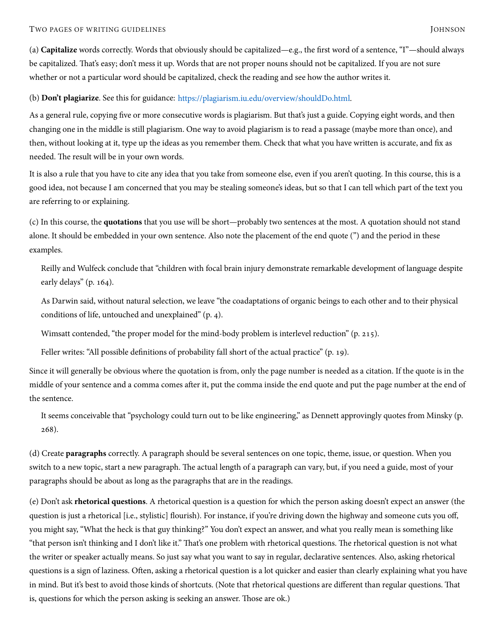(a) **Capitalize** words correctly. Words that obviously should be capitalized—e.g., the first word of a sentence, "I"—should always be capitalized. That's easy; don't mess it up. Words that are not proper nouns should not be capitalized. If you are not sure whether or not a particular word should be capitalized, check the reading and see how the author writes it.

(b) **Don't plagiarize**. See this for guidance: [https://plagiarism.iu.edu/overview/shouldDo.html.](https://plagiarism.iu.edu/overview/shouldDo.html)

As a general rule, copying five or more consecutive words is plagiarism. But that's just a guide. Copying eight words, and then changing one in the middle is still plagiarism. One way to avoid plagiarism is to read a passage (maybe more than once), and then, without looking at it, type up the ideas as you remember them. Check that what you have written is accurate, and fix as needed. The result will be in your own words.

It is also a rule that you have to cite any idea that you take from someone else, even if you aren't quoting. In this course, this is a good idea, not because I am concerned that you may be stealing someone's ideas, but so that I can tell which part of the text you are referring to or explaining.

(c) In this course, the **quotations** that you use will be short—probably two sentences at the most. A quotation should not stand alone. It should be embedded in your own sentence. Also note the placement of the end quote (") and the period in these examples.

Reilly and Wulfeck conclude that "children with focal brain injury demonstrate remarkable development of language despite early delays" (p. 164).

As Darwin said, without natural selection, we leave "the coadaptations of organic beings to each other and to their physical conditions of life, untouched and unexplained"  $(p, 4)$ .

Wimsatt contended, "the proper model for the mind-body problem is interlevel reduction"  $(p. 215)$ .

Feller writes: "All possible definitions of probability fall short of the actual practice" (p. 19).

Since it will generally be obvious where the quotation is from, only the page number is needed as a citation. If the quote is in the middle of your sentence and a comma comes after it, put the comma inside the end quote and put the page number at the end of the sentence.

It seems conceivable that "psychology could turn out to be like engineering," as Dennett approvingly quotes from Minsky (p. 268).

(d) Create **paragraphs** correctly. A paragraph should be several sentences on one topic, theme, issue, or question. When you switch to a new topic, start a new paragraph. The actual length of a paragraph can vary, but, if you need a guide, most of your paragraphs should be about as long as the paragraphs that are in the readings.

(e) Don't ask **rhetorical questions**. A rhetorical question is a question for which the person asking doesn't expect an answer (the question is just a rhetorical [i.e., stylistic] flourish). For instance, if you're driving down the highway and someone cuts you off, you might say, "What the heck is that guy thinking?" You don't expect an answer, and what you really mean is something like "that person isn't thinking and I don't like it." That's one problem with rhetorical questions. The rhetorical question is not what the writer or speaker actually means. So just say what you want to say in regular, declarative sentences. Also, asking rhetorical questions is a sign of laziness. Often, asking a rhetorical question is a lot quicker and easier than clearly explaining what you have in mind. But it's best to avoid those kinds of shortcuts. (Note that rhetorical questions are different than regular questions. That is, questions for which the person asking is seeking an answer. Those are ok.)